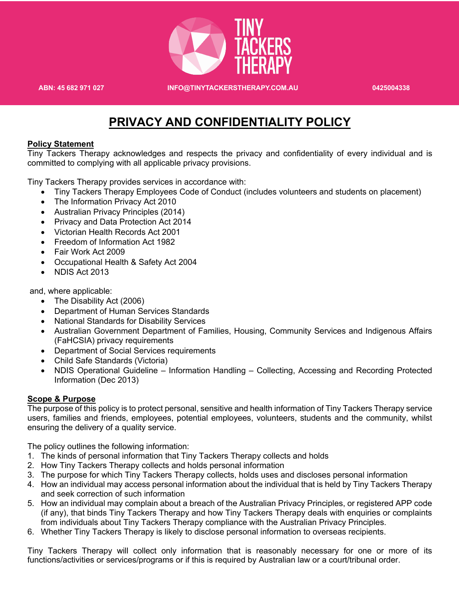

**ABN: 45 682 971 027 INFO@TINYTACKERSTHERAPY.COM.AU 0425004338**

# **PRIVACY AND CONFIDENTIALITY POLICY**

#### **Policy Statement**

Tiny Tackers Therapy acknowledges and respects the privacy and confidentiality of every individual and is committed to complying with all applicable privacy provisions.

Tiny Tackers Therapy provides services in accordance with:

- Tiny Tackers Therapy Employees Code of Conduct (includes volunteers and students on placement)
- The Information Privacy Act 2010
- Australian Privacy Principles (2014)
- Privacy and Data Protection Act 2014
- Victorian Health Records Act 2001
- Freedom of Information Act 1982
- Fair Work Act 2009
- Occupational Health & Safety Act 2004
- NDIS Act 2013

and, where applicable:

- The Disability Act (2006)
- Department of Human Services Standards
- National Standards for Disability Services
- Australian Government Department of Families, Housing, Community Services and Indigenous Affairs (FaHCSIA) privacy requirements
- Department of Social Services requirements
- Child Safe Standards (Victoria)
- NDIS Operational Guideline Information Handling Collecting, Accessing and Recording Protected Information (Dec 2013)

## **Scope & Purpose**

The purpose of this policy is to protect personal, sensitive and health information of Tiny Tackers Therapy service users, families and friends, employees, potential employees, volunteers, students and the community, whilst ensuring the delivery of a quality service.

The policy outlines the following information:

- 1. The kinds of personal information that Tiny Tackers Therapy collects and holds
- 2. How Tiny Tackers Therapy collects and holds personal information
- 3. The purpose for which Tiny Tackers Therapy collects, holds uses and discloses personal information
- 4. How an individual may access personal information about the individual that is held by Tiny Tackers Therapy and seek correction of such information
- 5. How an individual may complain about a breach of the Australian Privacy Principles, or registered APP code (if any), that binds Tiny Tackers Therapy and how Tiny Tackers Therapy deals with enquiries or complaints from individuals about Tiny Tackers Therapy compliance with the Australian Privacy Principles.
- 6. Whether Tiny Tackers Therapy is likely to disclose personal information to overseas recipients.

Tiny Tackers Therapy will collect only information that is reasonably necessary for one or more of its functions/activities or services/programs or if this is required by Australian law or a court/tribunal order.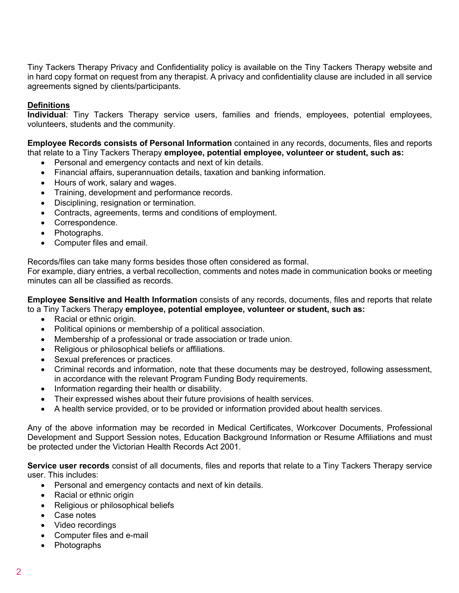Tiny Tackers Therapy Privacy and Confidentiality policy is available on the Tiny Tackers Therapy website and in hard copy format on request from any therapist. A privacy and confidentiality clause are included in all service agreements signed by clients/participants.

# **Definitions**

**Individual**: Tiny Tackers Therapy service users, families and friends, employees, potential employees, volunteers, students and the community.

**Employee Records consists of Personal Information** contained in any records, documents, files and reports that relate to a Tiny Tackers Therapy **employee, potential employee, volunteer or student, such as:**

- Personal and emergency contacts and next of kin details.
- Financial affairs, superannuation details, taxation and banking information.
- Hours of work, salary and wages.
- Training, development and performance records.
- Disciplining, resignation or termination.
- Contracts, agreements, terms and conditions of employment.
- Correspondence.
- Photographs.
- Computer files and email.

Records/files can take many forms besides those often considered as formal.

For example, diary entries, a verbal recollection, comments and notes made in communication books or meeting minutes can all be classified as records.

**Employee Sensitive and Health Information** consists of any records, documents, files and reports that relate to a Tiny Tackers Therapy **employee, potential employee, volunteer or student, such as:**

- Racial or ethnic origin.
- Political opinions or membership of a political association.
- Membership of a professional or trade association or trade union.
- Religious or philosophical beliefs or affiliations.
- Sexual preferences or practices.
- Criminal records and information, note that these documents may be destroyed, following assessment, in accordance with the relevant Program Funding Body requirements.
- Information regarding their health or disability.
- Their expressed wishes about their future provisions of health services.
- A health service provided, or to be provided or information provided about health services.

Any of the above information may be recorded in Medical Certificates, Workcover Documents, Professional Development and Support Session notes, Education Background Information or Resume Affiliations and must be protected under the Victorian Health Records Act 2001.

**Service user records** consist of all documents, files and reports that relate to a Tiny Tackers Therapy service user. This includes:

- Personal and emergency contacts and next of kin details.
- Racial or ethnic origin
- Religious or philosophical beliefs
- Case notes
- Video recordings
- Computer files and e-mail
- Photographs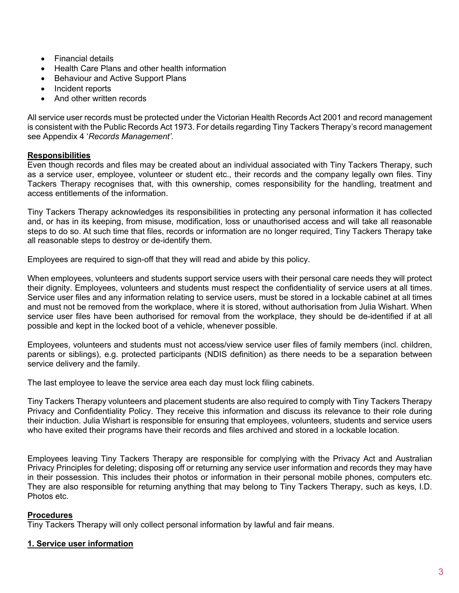- Financial details
- Health Care Plans and other health information
- Behaviour and Active Support Plans
- Incident reports
- And other written records

All service user records must be protected under the Victorian Health Records Act 2001 and record management is consistent with the Public Records Act 1973. For details regarding Tiny Tackers Therapy's record management see Appendix 4 '*Records Management'.* 

## **Responsibilities**

Even though records and files may be created about an individual associated with Tiny Tackers Therapy, such as a service user, employee, volunteer or student etc., their records and the company legally own files. Tiny Tackers Therapy recognises that, with this ownership, comes responsibility for the handling, treatment and access entitlements of the information.

Tiny Tackers Therapy acknowledges its responsibilities in protecting any personal information it has collected and, or has in its keeping, from misuse, modification, loss or unauthorised access and will take all reasonable steps to do so. At such time that files, records or information are no longer required, Tiny Tackers Therapy take all reasonable steps to destroy or de-identify them.

Employees are required to sign-off that they will read and abide by this policy.

When employees, volunteers and students support service users with their personal care needs they will protect their dignity. Employees, volunteers and students must respect the confidentiality of service users at all times. Service user files and any information relating to service users, must be stored in a lockable cabinet at all times and must not be removed from the workplace, where it is stored, without authorisation from Julia Wishart. When service user files have been authorised for removal from the workplace, they should be de-identified if at all possible and kept in the locked boot of a vehicle, whenever possible.

Employees, volunteers and students must not access/view service user files of family members (incl. children, parents or siblings), e.g. protected participants (NDIS definition) as there needs to be a separation between service delivery and the family.

The last employee to leave the service area each day must lock filing cabinets.

Tiny Tackers Therapy volunteers and placement students are also required to comply with Tiny Tackers Therapy Privacy and Confidentiality Policy. They receive this information and discuss its relevance to their role during their induction. Julia Wishart is responsible for ensuring that employees, volunteers, students and service users who have exited their programs have their records and files archived and stored in a lockable location.

Employees leaving Tiny Tackers Therapy are responsible for complying with the Privacy Act and Australian Privacy Principles for deleting; disposing off or returning any service user information and records they may have in their possession. This includes their photos or information in their personal mobile phones, computers etc. They are also responsible for returning anything that may belong to Tiny Tackers Therapy, such as keys, I.D. Photos etc.

# **Procedures**

Tiny Tackers Therapy will only collect personal information by lawful and fair means.

## **1. Service user information**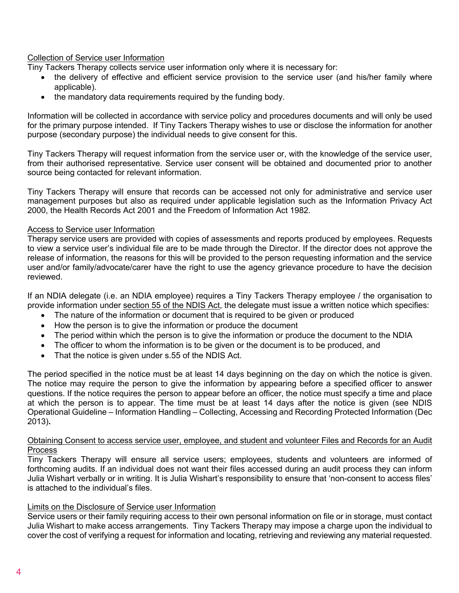## Collection of Service user Information

Tiny Tackers Therapy collects service user information only where it is necessary for:

- the delivery of effective and efficient service provision to the service user (and his/her family where applicable).
- the mandatory data requirements required by the funding body.

Information will be collected in accordance with service policy and procedures documents and will only be used for the primary purpose intended. If Tiny Tackers Therapy wishes to use or disclose the information for another purpose (secondary purpose) the individual needs to give consent for this.

Tiny Tackers Therapy will request information from the service user or, with the knowledge of the service user, from their authorised representative. Service user consent will be obtained and documented prior to another source being contacted for relevant information.

Tiny Tackers Therapy will ensure that records can be accessed not only for administrative and service user management purposes but also as required under applicable legislation such as the Information Privacy Act 2000, the Health Records Act 2001 and the Freedom of Information Act 1982.

#### Access to Service user Information

Therapy service users are provided with copies of assessments and reports produced by employees. Requests to view a service user's individual file are to be made through the Director. If the director does not approve the release of information, the reasons for this will be provided to the person requesting information and the service user and/or family/advocate/carer have the right to use the agency grievance procedure to have the decision reviewed.

If an NDIA delegate (i.e. an NDIA employee) requires a Tiny Tackers Therapy employee / the organisation to provide information under section 55 of the NDIS Act, the delegate must issue a written notice which specifies:

- The nature of the information or document that is required to be given or produced
- How the person is to give the information or produce the document
- The period within which the person is to give the information or produce the document to the NDIA
- The officer to whom the information is to be given or the document is to be produced, and
- That the notice is given under s.55 of the NDIS Act.

The period specified in the notice must be at least 14 days beginning on the day on which the notice is given. The notice may require the person to give the information by appearing before a specified officer to answer questions. If the notice requires the person to appear before an officer, the notice must specify a time and place at which the person is to appear. The time must be at least 14 days after the notice is given (see NDIS Operational Guideline – Information Handling – Collecting, Accessing and Recording Protected Information (Dec 2013)**.**

#### Obtaining Consent to access service user, employee, and student and volunteer Files and Records for an Audit Process

Tiny Tackers Therapy will ensure all service users; employees, students and volunteers are informed of forthcoming audits. If an individual does not want their files accessed during an audit process they can inform Julia Wishart verbally or in writing. It is Julia Wishart's responsibility to ensure that 'non-consent to access files' is attached to the individual's files.

## Limits on the Disclosure of Service user Information

Service users or their family requiring access to their own personal information on file or in storage, must contact Julia Wishart to make access arrangements. Tiny Tackers Therapy may impose a charge upon the individual to cover the cost of verifying a request for information and locating, retrieving and reviewing any material requested.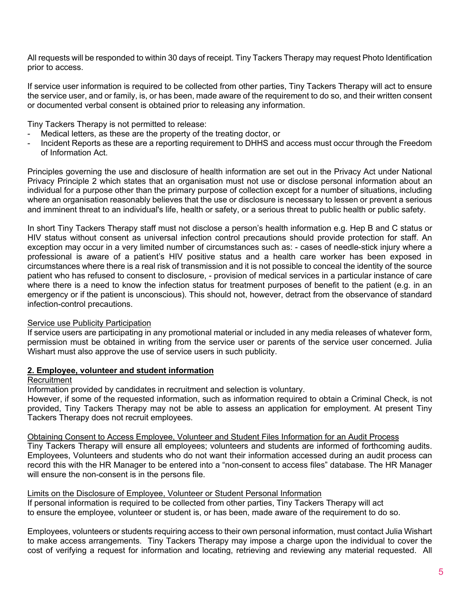All requests will be responded to within 30 days of receipt. Tiny Tackers Therapy may request Photo Identification prior to access.

If service user information is required to be collected from other parties, Tiny Tackers Therapy will act to ensure the service user, and or family, is, or has been, made aware of the requirement to do so, and their written consent or documented verbal consent is obtained prior to releasing any information.

Tiny Tackers Therapy is not permitted to release:

- Medical letters, as these are the property of the treating doctor, or
- Incident Reports as these are a reporting requirement to DHHS and access must occur through the Freedom of Information Act.

Principles governing the use and disclosure of health information are set out in the Privacy Act under National Privacy Principle 2 which states that an organisation must not use or disclose personal information about an individual for a purpose other than the primary purpose of collection except for a number of situations, including where an organisation reasonably believes that the use or disclosure is necessary to lessen or prevent a serious and imminent threat to an individual's life, health or safety, or a serious threat to public health or public safety.

In short Tiny Tackers Therapy staff must not disclose a person's health information e.g. Hep B and C status or HIV status without consent as universal infection control precautions should provide protection for staff. An exception may occur in a very limited number of circumstances such as: - cases of needle-stick injury where a professional is aware of a patient's HIV positive status and a health care worker has been exposed in circumstances where there is a real risk of transmission and it is not possible to conceal the identity of the source patient who has refused to consent to disclosure, - provision of medical services in a particular instance of care where there is a need to know the infection status for treatment purposes of benefit to the patient (e.g. in an emergency or if the patient is unconscious). This should not, however, detract from the observance of standard infection-control precautions.

# Service use Publicity Participation

If service users are participating in any promotional material or included in any media releases of whatever form, permission must be obtained in writing from the service user or parents of the service user concerned. Julia Wishart must also approve the use of service users in such publicity.

# **2. Employee, volunteer and student information**

# **Recruitment**

Information provided by candidates in recruitment and selection is voluntary.

However, if some of the requested information, such as information required to obtain a Criminal Check, is not provided, Tiny Tackers Therapy may not be able to assess an application for employment. At present Tiny Tackers Therapy does not recruit employees.

Obtaining Consent to Access Employee, Volunteer and Student Files Information for an Audit Process

Tiny Tackers Therapy will ensure all employees; volunteers and students are informed of forthcoming audits. Employees, Volunteers and students who do not want their information accessed during an audit process can record this with the HR Manager to be entered into a "non-consent to access files" database. The HR Manager will ensure the non-consent is in the persons file.

## Limits on the Disclosure of Employee, Volunteer or Student Personal Information

If personal information is required to be collected from other parties, Tiny Tackers Therapy will act to ensure the employee, volunteer or student is, or has been, made aware of the requirement to do so.

Employees, volunteers or students requiring access to their own personal information, must contact Julia Wishart to make access arrangements. Tiny Tackers Therapy may impose a charge upon the individual to cover the cost of verifying a request for information and locating, retrieving and reviewing any material requested. All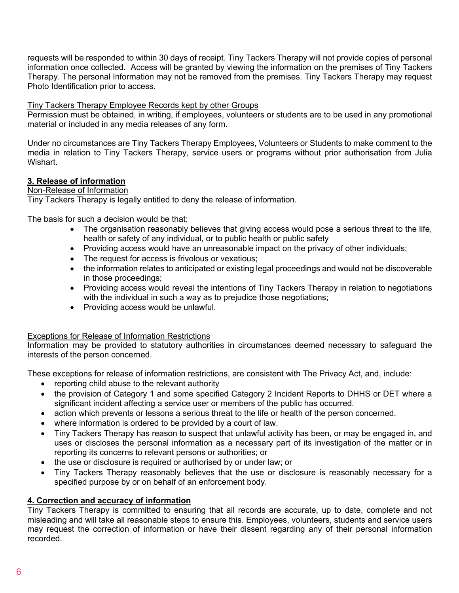requests will be responded to within 30 days of receipt. Tiny Tackers Therapy will not provide copies of personal information once collected. Access will be granted by viewing the information on the premises of Tiny Tackers Therapy. The personal Information may not be removed from the premises. Tiny Tackers Therapy may request Photo Identification prior to access.

## Tiny Tackers Therapy Employee Records kept by other Groups

Permission must be obtained, in writing, if employees, volunteers or students are to be used in any promotional material or included in any media releases of any form.

Under no circumstances are Tiny Tackers Therapy Employees, Volunteers or Students to make comment to the media in relation to Tiny Tackers Therapy, service users or programs without prior authorisation from Julia Wishart.

## **3. Release of information**

## Non-Release of Information

Tiny Tackers Therapy is legally entitled to deny the release of information.

The basis for such a decision would be that:

- The organisation reasonably believes that giving access would pose a serious threat to the life, health or safety of any individual, or to public health or public safety
- Providing access would have an unreasonable impact on the privacy of other individuals;
- The request for access is frivolous or vexatious;
- the information relates to anticipated or existing legal proceedings and would not be discoverable in those proceedings;
- Providing access would reveal the intentions of Tiny Tackers Therapy in relation to negotiations with the individual in such a way as to prejudice those negotiations;
- Providing access would be unlawful.

## Exceptions for Release of Information Restrictions

Information may be provided to statutory authorities in circumstances deemed necessary to safeguard the interests of the person concerned.

These exceptions for release of information restrictions, are consistent with The Privacy Act, and, include:

- reporting child abuse to the relevant authority
- the provision of Category 1 and some specified Category 2 Incident Reports to DHHS or DET where a significant incident affecting a service user or members of the public has occurred.
- action which prevents or lessons a serious threat to the life or health of the person concerned.
- where information is ordered to be provided by a court of law.
- Tiny Tackers Therapy has reason to suspect that unlawful activity has been, or may be engaged in, and uses or discloses the personal information as a necessary part of its investigation of the matter or in reporting its concerns to relevant persons or authorities; or
- the use or disclosure is required or authorised by or under law; or
- Tiny Tackers Therapy reasonably believes that the use or disclosure is reasonably necessary for a specified purpose by or on behalf of an enforcement body.

#### **4. Correction and accuracy of information**

Tiny Tackers Therapy is committed to ensuring that all records are accurate, up to date, complete and not misleading and will take all reasonable steps to ensure this. Employees, volunteers, students and service users may request the correction of information or have their dissent regarding any of their personal information recorded.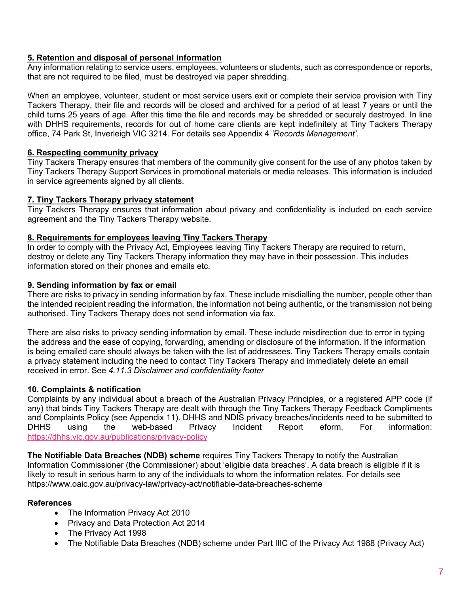# **5. Retention and disposal of personal information**

Any information relating to service users, employees, volunteers or students, such as correspondence or reports, that are not required to be filed, must be destroyed via paper shredding.

When an employee, volunteer, student or most service users exit or complete their service provision with Tiny Tackers Therapy, their file and records will be closed and archived for a period of at least 7 years or until the child turns 25 years of age. After this time the file and records may be shredded or securely destroyed. In line with DHHS requirements, records for out of home care clients are kept indefinitely at Tiny Tackers Therapy office, 74 Park St, Inverleigh VIC 3214. For details see Appendix 4 *'Records Management'.*

## **6. Respecting community privacy**

Tiny Tackers Therapy ensures that members of the community give consent for the use of any photos taken by Tiny Tackers Therapy Support Services in promotional materials or media releases. This information is included in service agreements signed by all clients.

#### **7. Tiny Tackers Therapy privacy statement**

Tiny Tackers Therapy ensures that information about privacy and confidentiality is included on each service agreement and the Tiny Tackers Therapy website.

## **8. Requirements for employees leaving Tiny Tackers Therapy**

In order to comply with the Privacy Act, Employees leaving Tiny Tackers Therapy are required to return, destroy or delete any Tiny Tackers Therapy information they may have in their possession. This includes information stored on their phones and emails etc.

#### **9. Sending information by fax or email**

There are risks to privacy in sending information by fax. These include misdialling the number, people other than the intended recipient reading the information, the information not being authentic, or the transmission not being authorised. Tiny Tackers Therapy does not send information via fax.

There are also risks to privacy sending information by email. These include misdirection due to error in typing the address and the ease of copying, forwarding, amending or disclosure of the information. If the information is being emailed care should always be taken with the list of addressees. Tiny Tackers Therapy emails contain a privacy statement including the need to contact Tiny Tackers Therapy and immediately delete an email received in error. See *4.11.3 Disclaimer and confidentiality footer*

## **10. Complaints & notification**

Complaints by any individual about a breach of the Australian Privacy Principles, or a registered APP code (if any) that binds Tiny Tackers Therapy are dealt with through the Tiny Tackers Therapy Feedback Compliments and Complaints Policy (see Appendix 11). DHHS and NDIS privacy breaches/incidents need to be submitted to DHHS using the web-based Privacy Incident Report eform. For information: https://dhhs.vic.gov.au/publications/privacy-policy

**The Notifiable Data Breaches (NDB) scheme** requires Tiny Tackers Therapy to notify the Australian Information Commissioner (the Commissioner) about 'eligible data breaches'. A data breach is eligible if it is likely to result in serious harm to any of the individuals to whom the information relates. For details see https://www.oaic.gov.au/privacy-law/privacy-act/notifiable-data-breaches-scheme

## **References**

- The Information Privacy Act 2010
- Privacy and Data Protection Act 2014
- The Privacy Act 1998
- The Notifiable Data Breaches (NDB) scheme under Part IIIC of the Privacy Act 1988 (Privacy Act)